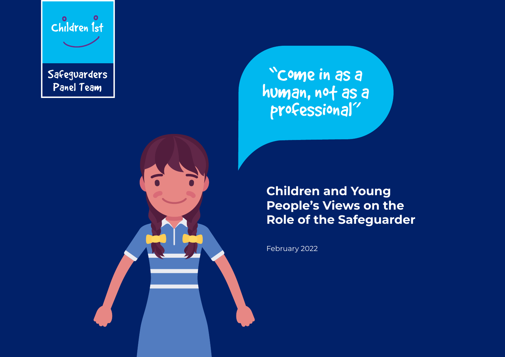

**Safeguarders** Panel Team

"Come in as a human, not as a<br>professional"

**Children and Young People's Views on the Role of the Safeguarder**

February 2022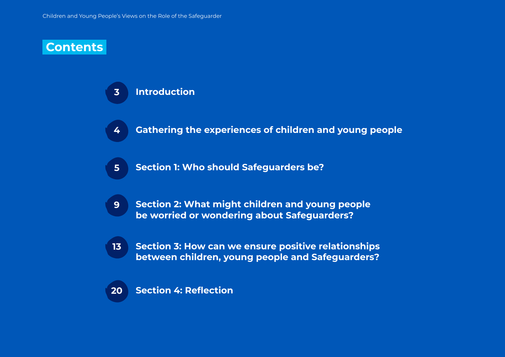#### **Contents**

#### **Introduction 3**

- **Gathering the experiences of children and young people 4**
- **Section 1: Who should Safeguarders be? 5**
- **Section 2: What might children and young people be worried or wondering about Safeguarders? 9**
- **Section 3: How can we ensure positive relationships between children, young people and Safeguarders? 13**

#### **Section 4: Reflection 20**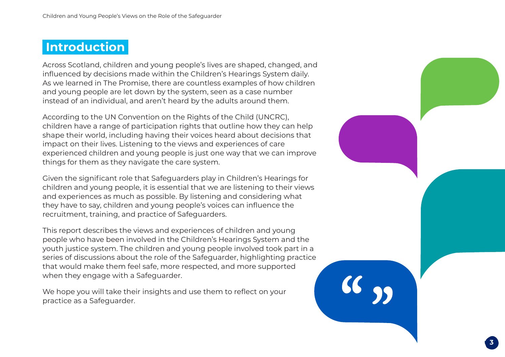#### **Introduction**

Across Scotland, children and young people's lives are shaped, changed, and influenced by decisions made within the Children's Hearings System daily. As we learned in The Promise, there are countless examples of how children and young people are let down by the system, seen as a case number instead of an individual, and aren't heard by the adults around them.

According to the UN Convention on the Rights of the Child (UNCRC), children have a range of participation rights that outline how they can help shape their world, including having their voices heard about decisions that impact on their lives. Listening to the views and experiences of care experienced children and young people is just one way that we can improve things for them as they navigate the care system.

Given the significant role that Safeguarders play in Children's Hearings for children and young people, it is essential that we are listening to their views and experiences as much as possible. By listening and considering what they have to say, children and young people's voices can influence the recruitment, training, and practice of Safeguarders.

This report describes the views and experiences of children and young people who have been involved in the Children's Hearings System and the youth justice system. The children and young people involved took part in a series of discussions about the role of the Safeguarder, highlighting practice that would make them feel safe, more respected, and more supported when they engage with a Safeguarder.

We hope you will take their insights and use them to reflect on your practice as a Safeguarder.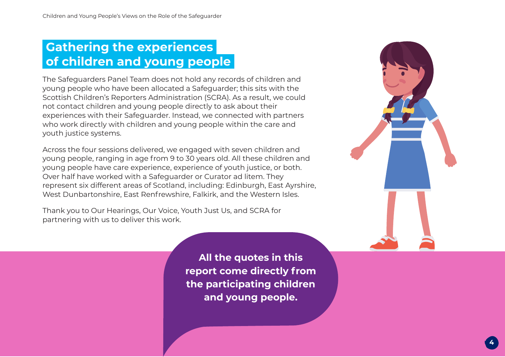# **Gathering the experiences of children and young people**

The Safeguarders Panel Team does not hold any records of children and young people who have been allocated a Safeguarder; this sits with the Scottish Children's Reporters Administration (SCRA). As a result, we could not contact children and young people directly to ask about their experiences with their Safeguarder. Instead, we connected with partners who work directly with children and young people within the care and youth justice systems.

Across the four sessions delivered, we engaged with seven children and young people, ranging in age from 9 to 30 years old. All these children and young people have care experience, experience of youth justice, or both. Over half have worked with a Safeguarder or Curator ad litem. They represent six different areas of Scotland, including: Edinburgh, East Ayrshire, West Dunbartonshire, East Renfrewshire, Falkirk, and the Western Isles.

Thank you to Our Hearings, Our Voice, Youth Just Us, and SCRA for partnering with us to deliver this work.

**All the quotes in this report come directly from the participating children and young people.**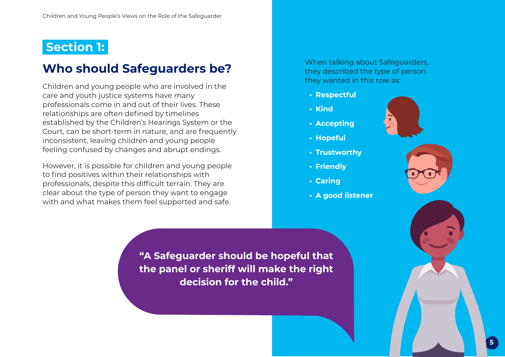### **Section 1:**

### **Who should Safeguarders be?**

Children and young people who are involved in the care and youth justice systems have many professionals come in and out of their lives. These relationships are often defined by timelines established by the Children's Hearings System or the Court, can be short-term in nature, and are frequently inconsistent, leaving children and young people feeling confused by changes and abrupt endings.

However, it is possible for children and young people to find positives within their relationships with professionals, despite this difficult terrain. They are clear about the type of person they want to engage with and what makes them feel supported and safe.

When talking about Safeguarders, they described the type of person they wanted in this role as:

- **Respectful**
- **Kind**
- **Accepting**
- **Hopeful**
- **Trustworthy**
- **Friendly**
- **Caring**
- **A good listener**





**"A Safeguarder should be hopeful that the panel or sheriff will make the right decision for the child."**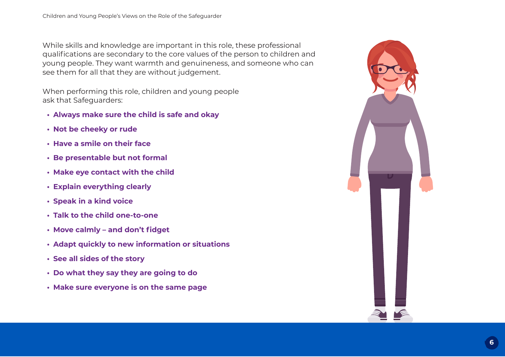While skills and knowledge are important in this role, these professional qualifications are secondary to the core values of the person to children and young people. They want warmth and genuineness, and someone who can see them for all that they are without judgement.

When performing this role, children and young people ask that Safeguarders:

- **Always make sure the child is safe and okay**
- **Not be cheeky or rude**
- **Have a smile on their face**
- **Be presentable but not formal**
- **Make eye contact with the child**
- **Explain everything clearly**
- **Speak in a kind voice**
- **Talk to the child one-to-one**
- **Move calmly and don't fidget**
- **Adapt quickly to new information or situations**
- **See all sides of the story**
- **Do what they say they are going to do**
- **Make sure everyone is on the same page**

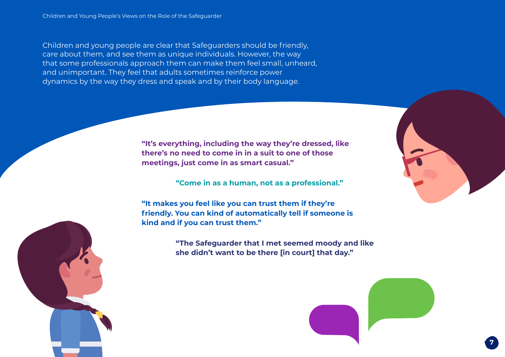Children and young people are clear that Safeguarders should be friendly, care about them, and see them as unique individuals. However, the way that some professionals approach them can make them feel small, unheard, and unimportant. They feel that adults sometimes reinforce power dynamics by the way they dress and speak and by their body language.

> **"It's everything, including the way they're dressed, like there's no need to come in in a suit to one of those meetings, just come in as smart casual."**

> > **"Come in as a human, not as a professional."**

**"It makes you feel like you can trust them if they're friendly. You can kind of automatically tell if someone is kind and if you can trust them."**

> **"The Safeguarder that I met seemed moody and like she didn't want to be there [in court] that day."**



**7**

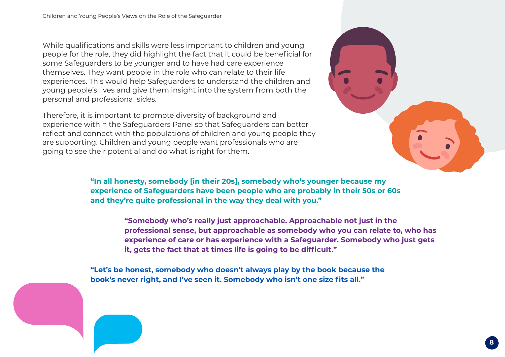While qualifications and skills were less important to children and young people for the role, they did highlight the fact that it could be beneficial for some Safeguarders to be younger and to have had care experience themselves. They want people in the role who can relate to their life experiences. This would help Safeguarders to understand the children and young people's lives and give them insight into the system from both the personal and professional sides.

Therefore, it is important to promote diversity of background and experience within the Safeguarders Panel so that Safeguarders can better reflect and connect with the populations of children and young people they are supporting. Children and young people want professionals who are going to see their potential and do what is right for them.



**"In all honesty, somebody [in their 20s], somebody who's younger because my experience of Safeguarders have been people who are probably in their 50s or 60s and they're quite professional in the way they deal with you."**

> **"Somebody who's really just approachable. Approachable not just in the professional sense, but approachable as somebody who you can relate to, who has experience of care or has experience with a Safeguarder. Somebody who just gets it, gets the fact that at times life is going to be difficult."**

**"Let's be honest, somebody who doesn't always play by the book because the book's never right, and I've seen it. Somebody who isn't one size fits all."**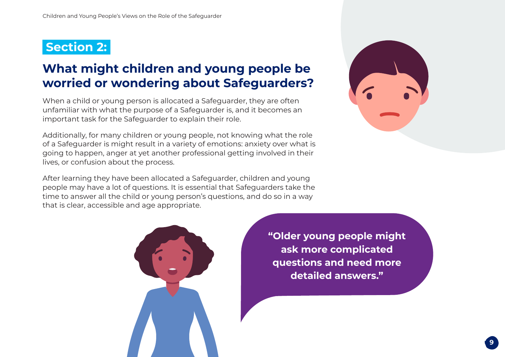#### **Section 2:**

# **What might children and young people be worried or wondering about Safeguarders?**

When a child or young person is allocated a Safeguarder, they are often unfamiliar with what the purpose of a Safeguarder is, and it becomes an important task for the Safeguarder to explain their role.

Additionally, for many children or young people, not knowing what the role of a Safeguarder is might result in a variety of emotions: anxiety over what is going to happen, anger at yet another professional getting involved in their lives, or confusion about the process.

After learning they have been allocated a Safeguarder, children and young people may have a lot of questions. It is essential that Safeguarders take the time to answer all the child or young person's questions, and do so in a way that is clear, accessible and age appropriate.





**"Older young people might ask more complicated questions and need more detailed answers."**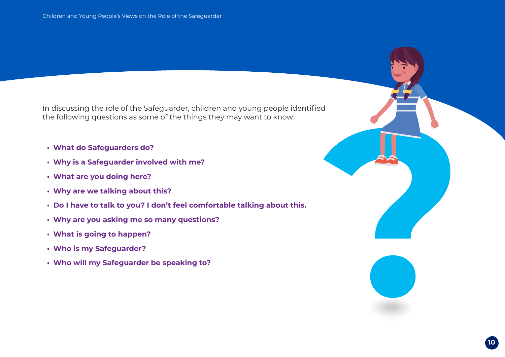In discussing the role of the Safeguarder, children and young people identified the following questions as some of the things they may want to know:

- **What do Safeguarders do?**
- **Why is a Safeguarder involved with me?**
- **What are you doing here?**
- **Why are we talking about this?**
- **Do I have to talk to you? I don't feel comfortable talking about this.**
- **Why are you asking me so many questions?**
- **What is going to happen?**
- **Who is my Safeguarder?**
- **Who will my Safeguarder be speaking to?**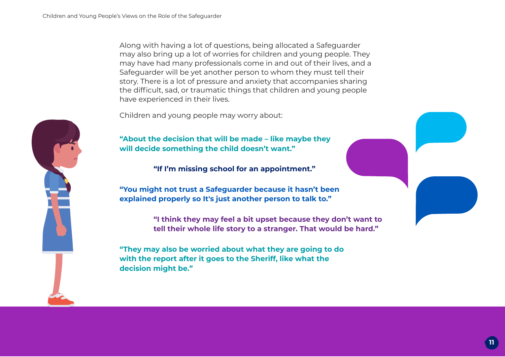Along with having a lot of questions, being allocated a Safeguarder may also bring up a lot of worries for children and young people. They may have had many professionals come in and out of their lives, and a Safeguarder will be yet another person to whom they must tell their story. There is a lot of pressure and anxiety that accompanies sharing the difficult, sad, or traumatic things that children and young people have experienced in their lives.

Children and young people may worry about:



**"About the decision that will be made – like maybe they will decide something the child doesn't want."**

**"If I'm missing school for an appointment."**

**"You might not trust a Safeguarder because it hasn't been explained properly so It's just another person to talk to."**

> **"I think they may feel a bit upset because they don't want to tell their whole life story to a stranger. That would be hard."**

**"They may also be worried about what they are going to do with the report after it goes to the Sheriff, like what the decision might be."**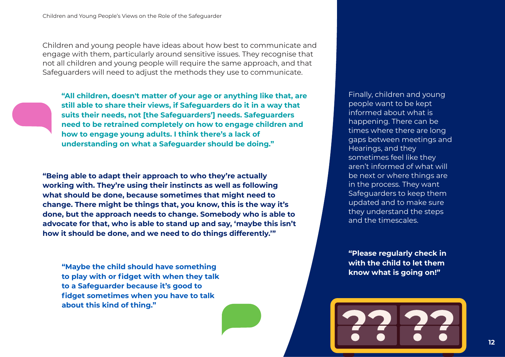Children and young people have ideas about how best to communicate and engage with them, particularly around sensitive issues. They recognise that not all children and young people will require the same approach, and that Safeguarders will need to adjust the methods they use to communicate.

**"All children, doesn't matter of your age or anything like that, are still able to share their views, if Safeguarders do it in a way that suits their needs, not [the Safeguarders'] needs. Safeguarders need to be retrained completely on how to engage children and how to engage young adults. I think there's a lack of understanding on what a Safeguarder should be doing."**

**"Being able to adapt their approach to who they're actually working with. They're using their instincts as well as following what should be done, because sometimes that might need to change. There might be things that, you know, this is the way it's done, but the approach needs to change. Somebody who is able to advocate for that, who is able to stand up and say, 'maybe this isn't how it should be done, and we need to do things differently.'"**

**"Maybe the child should have something to play with or fidget with when they talk to a Safeguarder because it's good to fidget sometimes when you have to talk about this kind of thing."**

Finally, children and young people want to be kept informed about what is happening. There can be times where there are long gaps between meetings and Hearings, and they sometimes feel like they aren't informed of what will be next or where things are in the process. They want Safeguarders to keep them updated and to make sure they understand the steps and the timescales.

**"Please regularly check in with the child to let them know what is going on!"**

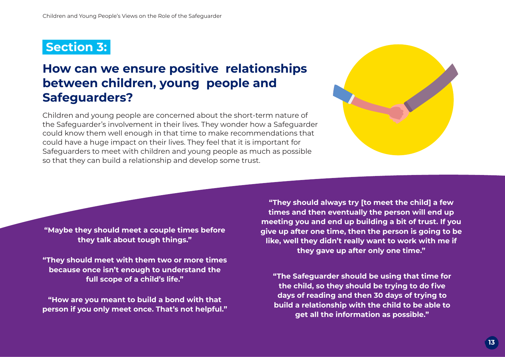### **Section 3:**

# **How can we ensure positive relationships between children, young people and Safeguarders?**

Children and young people are concerned about the short-term nature of the Safeguarder's involvement in their lives. They wonder how a Safeguarder could know them well enough in that time to make recommendations that could have a huge impact on their lives. They feel that it is important for Safeguarders to meet with children and young people as much as possible so that they can build a relationship and develop some trust.



**"Maybe they should meet a couple times before they talk about tough things."**

**"They should meet with them two or more times because once isn't enough to understand the full scope of a child's life."**

**"How are you meant to build a bond with that person if you only meet once. That's not helpful."**

**"They should always try [to meet the child] a few times and then eventually the person will end up meeting you and end up building a bit of trust. If you give up after one time, then the person is going to be like, well they didn't really want to work with me if they gave up after only one time."**

**"The Safeguarder should be using that time for the child, so they should be trying to do five days of reading and then 30 days of trying to build a relationship with the child to be able to get all the information as possible."**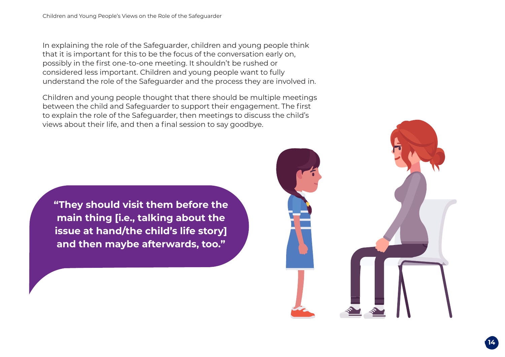In explaining the role of the Safeguarder, children and young people think that it is important for this to be the focus of the conversation early on, possibly in the first one-to-one meeting. It shouldn't be rushed or considered less important. Children and young people want to fully understand the role of the Safeguarder and the process they are involved in.

Children and young people thought that there should be multiple meetings between the child and Safeguarder to support their engagement. The first to explain the role of the Safeguarder, then meetings to discuss the child's views about their life, and then a final session to say goodbye.

**"They should visit them before the main thing [i.e., talking about the issue at hand/the child's life story] and then maybe afterwards, too."**

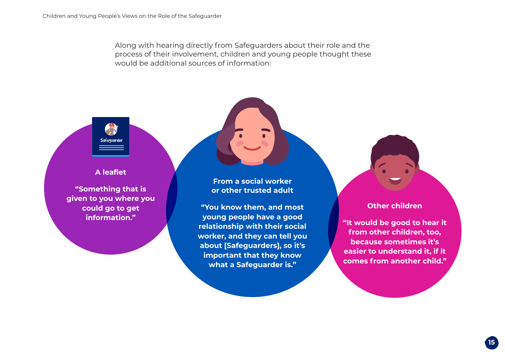Along with hearing directly from Safeguarders about their role and the process of their involvement, children and young people thought these would be additional sources of information:

#### **A leaflet**

**"Something that is given to you where you could go to get information."**

**From a social worker or other trusted adult**

**"You know them, and most young people have a good relationship with their social worker, and they can tell you about [Safeguarders], so it's important that they know what a Safeguarder is."**

**Other children**

**"It would be good to hear it from other children, too, because sometimes it's easier to understand it, if it comes from another child."**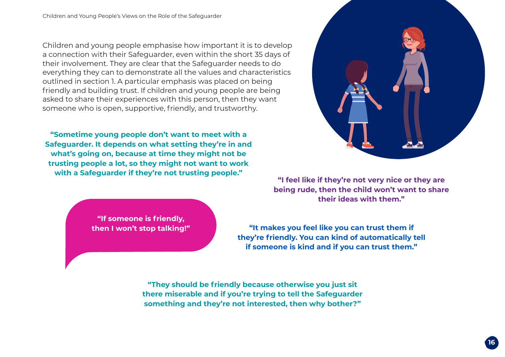Children and young people emphasise how important it is to develop a connection with their Safeguarder, even within the short 35 days of their involvement. They are clear that the Safeguarder needs to do everything they can to demonstrate all the values and characteristics outlined in section 1. A particular emphasis was placed on being friendly and building trust. If children and young people are being asked to share their experiences with this person, then they want someone who is open, supportive, friendly, and trustworthy.

**"Sometime young people don't want to meet with a Safeguarder. It depends on what setting they're in and what's going on, because at time they might not be trusting people a lot, so they might not want to work with a Safeguarder if they're not trusting people."**

**"If someone is friendly,**

**"I feel like if they're not very nice or they are being rude, then the child won't want to share their ideas with them."**

**then I won't stop talking!" "It makes you feel like you can trust them if they're friendly. You can kind of automatically tell if someone is kind and if you can trust them."**

> **"They should be friendly because otherwise you just sit there miserable and if you're trying to tell the Safeguarder something and they're not interested, then why bother?"**

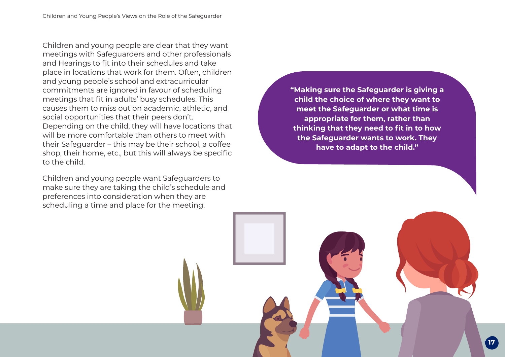Children and young people are clear that they want meetings with Safeguarders and other professionals and Hearings to fit into their schedules and take place in locations that work for them. Often, children and young people's school and extracurricular commitments are ignored in favour of scheduling meetings that fit in adults' busy schedules. This causes them to miss out on academic, athletic, and social opportunities that their peers don't. Depending on the child, they will have locations that will be more comfortable than others to meet with their Safeguarder – this may be their school, a coffee shop, their home, etc., but this will always be specific to the child.

Children and young people want Safeguarders to make sure they are taking the child's schedule and preferences into consideration when they are scheduling a time and place for the meeting.

**"Making sure the Safeguarder is giving a child the choice of where they want to meet the Safeguarder or what time is appropriate for them, rather than thinking that they need to fit in to how the Safeguarder wants to work. They have to adapt to the child."**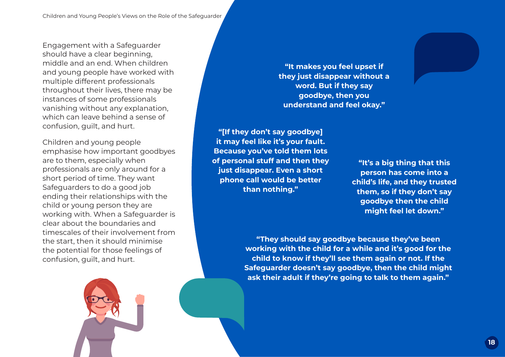Engagement with a Safeguarder should have a clear beginning, middle and an end. When children and young people have worked with multiple different professionals throughout their lives, there may be instances of some professionals vanishing without any explanation, which can leave behind a sense of confusion, guilt, and hurt.

Children and young people emphasise how important goodbyes are to them, especially when professionals are only around for a short period of time. They want Safeguarders to do a good job ending their relationships with the child or young person they are working with. When a Safeguarder is clear about the boundaries and timescales of their involvement from the start, then it should minimise the potential for those feelings of confusion, guilt, and hurt.

**"It makes you feel upset if they just disappear without a word. But if they say goodbye, then you understand and feel okay."**

**"[If they don't say goodbye] it may feel like it's your fault. Because you've told them lots of personal stuff and then they just disappear. Even a short phone call would be better than nothing."**

**"It's a big thing that this person has come into a child's life, and they trusted them, so if they don't say goodbye then the child might feel let down."**

**"They should say goodbye because they've been working with the child for a while and it's good for the child to know if they'll see them again or not. If the Safeguarder doesn't say goodbye, then the child might ask their adult if they're going to talk to them again."**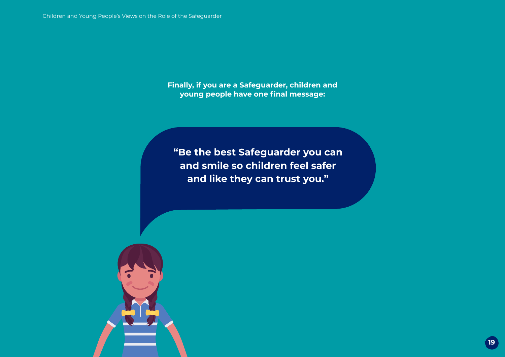**Finally, if you are a Safeguarder, children and young people have one final message:**

**"Be the best Safeguarder you can and smile so children feel safer and like they can trust you."**

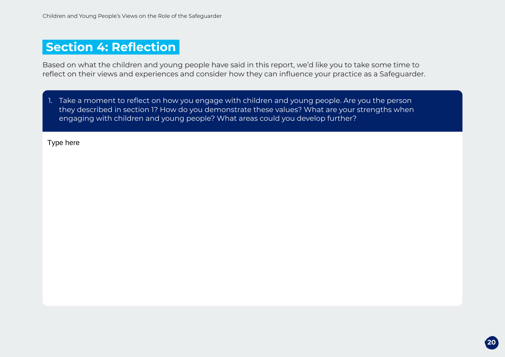### **Section 4: Reflection**

Based on what the children and young people have said in this report, we'd like you to take some time to reflect on their views and experiences and consider how they can influence your practice as a Safeguarder.

1. Take a moment to reflect on how you engage with children and young people. Are you the person they described in section 1? How do you demonstrate these values? What are your strengths when engaging with children and young people? What areas could you develop further?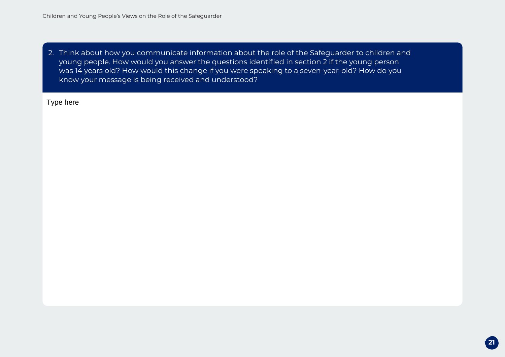2. Think about how you communicate information about the role of the Safeguarder to children and young people. How would you answer the questions identified in section 2 if the young person was 14 years old? How would this change if you were speaking to a seven-year-old? How do you know your message is being received and understood?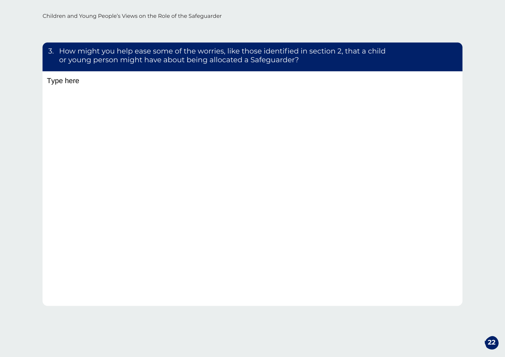$\vert$  3. How might you help ease some of the worries, like those identified in section 2, that a child or young person might have about being allocated a Safeguarder?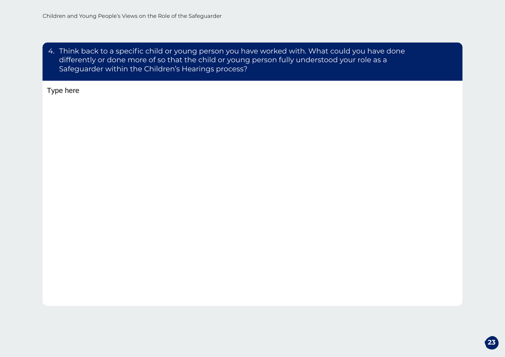4. Think back to a specific child or young person you have worked with. What could you have done differently or done more of so that the child or young person fully understood your role as a Safeguarder within the Children's Hearings process?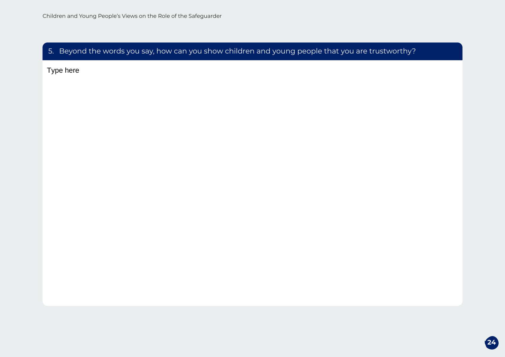5. Beyond the words you say, how can you show children and young people that you are trustworthy?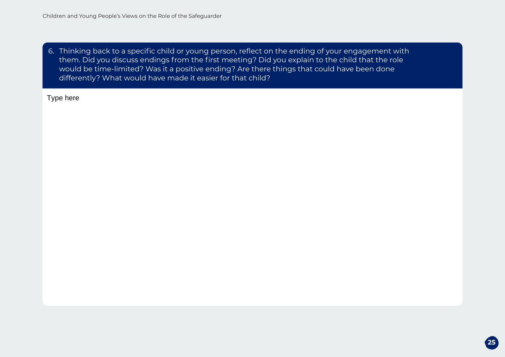6. Thinking back to a specific child or young person, reflect on the ending of your engagement with them. Did you discuss endings from the first meeting? Did you explain to the child that the role would be time-limited? Was it a positive ending? Are there things that could have been done differently? What would have made it easier for that child?